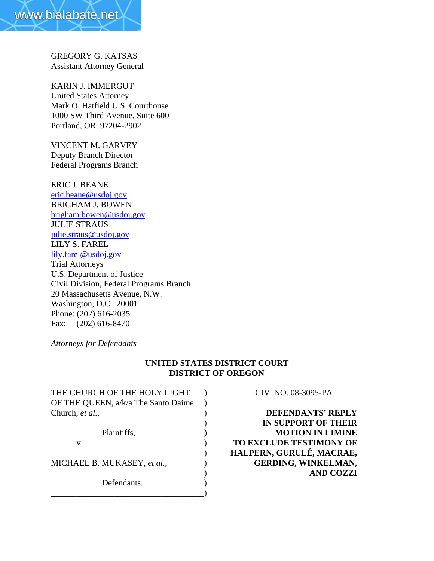GREGORY G. KATSAS Assistant Attorney General

KARIN J. IMMERGUT United States Attorney Mark O. Hatfield U.S. Courthouse 1000 SW Third Avenue, Suite 600 Portland, OR 97204-2902

VINCENT M. GARVEY Deputy Branch Director Federal Programs Branch

ERIC J. BEANE eric.beane@usdoj.gov BRIGHAM J. BOWEN brigham.bowen@usdoj.gov JULIE STRAUS julie.straus@usdoj.gov LILY S. FAREL lily.farel@usdoj.gov Trial Attorneys U.S. Department of Justice Civil Division, Federal Programs Branch 20 Massachusetts Avenue, N.W. Washington, D.C. 20001 Phone: (202) 616-2035 Fax: (202) 616-8470

*Attorneys for Defendants*

# **UNITED STATES DISTRICT COURT DISTRICT OF OREGON**

| THE CHURCH OF THE HOLY LIGHT        |  |
|-------------------------------------|--|
| OF THE QUEEN, a/k/a The Santo Daime |  |
| Church, et al.,                     |  |
|                                     |  |
| Plaintiffs,                         |  |
| V.                                  |  |
|                                     |  |
| MICHAEL B. MUKASEY, et al.,         |  |
|                                     |  |
| Defendants.                         |  |
|                                     |  |

CIV. NO. 08-3095-PA

**DEFENDANTS' REPLY** ) **IN SUPPORT OF THEIR MOTION IN LIMINE TO EXCLUDE TESTIMONY OF** ) **HALPERN, GURULÉ, MACRAE,** MICHAEL B. MUKASEY, *et al.*, ) **GERDING, WINKELMAN,** ) **AND COZZI**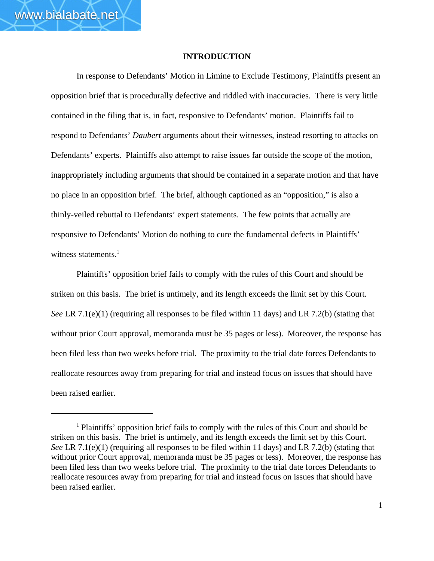### **INTRODUCTION**

In response to Defendants' Motion in Limine to Exclude Testimony, Plaintiffs present an opposition brief that is procedurally defective and riddled with inaccuracies. There is very little contained in the filing that is, in fact, responsive to Defendants' motion. Plaintiffs fail to respond to Defendants' *Daubert* arguments about their witnesses, instead resorting to attacks on Defendants' experts. Plaintiffs also attempt to raise issues far outside the scope of the motion, inappropriately including arguments that should be contained in a separate motion and that have no place in an opposition brief. The brief, although captioned as an "opposition," is also a thinly-veiled rebuttal to Defendants' expert statements. The few points that actually are responsive to Defendants' Motion do nothing to cure the fundamental defects in Plaintiffs' witness statements. $<sup>1</sup>$ </sup>

Plaintiffs' opposition brief fails to comply with the rules of this Court and should be striken on this basis. The brief is untimely, and its length exceeds the limit set by this Court. *See* LR 7.1(e)(1) (requiring all responses to be filed within 11 days) and LR 7.2(b) (stating that without prior Court approval, memoranda must be 35 pages or less). Moreover, the response has been filed less than two weeks before trial. The proximity to the trial date forces Defendants to reallocate resources away from preparing for trial and instead focus on issues that should have been raised earlier.

<sup>&</sup>lt;sup>1</sup> Plaintiffs' opposition brief fails to comply with the rules of this Court and should be striken on this basis. The brief is untimely, and its length exceeds the limit set by this Court. *See* LR 7.1(e)(1) (requiring all responses to be filed within 11 days) and LR 7.2(b) (stating that without prior Court approval, memoranda must be 35 pages or less). Moreover, the response has been filed less than two weeks before trial. The proximity to the trial date forces Defendants to reallocate resources away from preparing for trial and instead focus on issues that should have been raised earlier.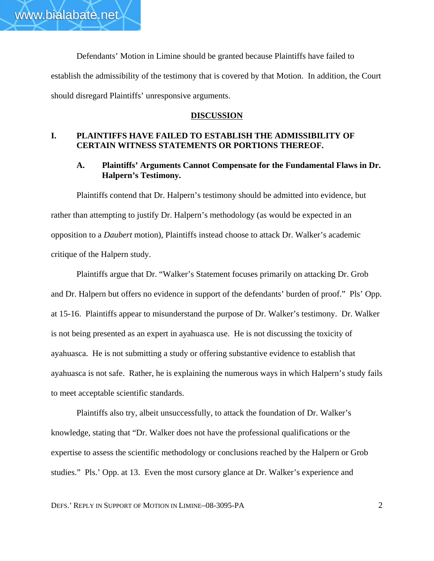Defendants' Motion in Limine should be granted because Plaintiffs have failed to establish the admissibility of the testimony that is covered by that Motion. In addition, the Court should disregard Plaintiffs' unresponsive arguments.

### **DISCUSSION**

# **I. PLAINTIFFS HAVE FAILED TO ESTABLISH THE ADMISSIBILITY OF CERTAIN WITNESS STATEMENTS OR PORTIONS THEREOF.**

# **A. Plaintiffs' Arguments Cannot Compensate for the Fundamental Flaws in Dr. Halpern's Testimony.**

Plaintiffs contend that Dr. Halpern's testimony should be admitted into evidence, but rather than attempting to justify Dr. Halpern's methodology (as would be expected in an opposition to a *Daubert* motion), Plaintiffs instead choose to attack Dr. Walker's academic critique of the Halpern study.

Plaintiffs argue that Dr. "Walker's Statement focuses primarily on attacking Dr. Grob and Dr. Halpern but offers no evidence in support of the defendants' burden of proof." Pls' Opp. at 15-16. Plaintiffs appear to misunderstand the purpose of Dr. Walker's testimony. Dr. Walker is not being presented as an expert in ayahuasca use. He is not discussing the toxicity of ayahuasca. He is not submitting a study or offering substantive evidence to establish that ayahuasca is not safe. Rather, he is explaining the numerous ways in which Halpern's study fails to meet acceptable scientific standards.

Plaintiffs also try, albeit unsuccessfully, to attack the foundation of Dr. Walker's knowledge, stating that "Dr. Walker does not have the professional qualifications or the expertise to assess the scientific methodology or conclusions reached by the Halpern or Grob studies." Pls.' Opp. at 13. Even the most cursory glance at Dr. Walker's experience and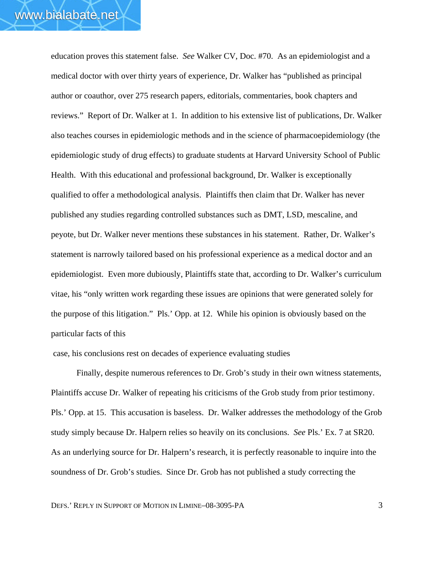education proves this statement false. *See* Walker CV, Doc. #70. As an epidemiologist and a medical doctor with over thirty years of experience, Dr. Walker has "published as principal author or coauthor, over 275 research papers, editorials, commentaries, book chapters and reviews." Report of Dr. Walker at 1. In addition to his extensive list of publications, Dr. Walker also teaches courses in epidemiologic methods and in the science of pharmacoepidemiology (the epidemiologic study of drug effects) to graduate students at Harvard University School of Public Health. With this educational and professional background, Dr. Walker is exceptionally qualified to offer a methodological analysis. Plaintiffs then claim that Dr. Walker has never published any studies regarding controlled substances such as DMT, LSD, mescaline, and peyote, but Dr. Walker never mentions these substances in his statement. Rather, Dr. Walker's statement is narrowly tailored based on his professional experience as a medical doctor and an epidemiologist. Even more dubiously, Plaintiffs state that, according to Dr. Walker's curriculum vitae, his "only written work regarding these issues are opinions that were generated solely for the purpose of this litigation." Pls.' Opp. at 12. While his opinion is obviously based on the particular facts of this

case, his conclusions rest on decades of experience evaluating studies

Finally, despite numerous references to Dr. Grob's study in their own witness statements, Plaintiffs accuse Dr. Walker of repeating his criticisms of the Grob study from prior testimony. Pls.' Opp. at 15. This accusation is baseless. Dr. Walker addresses the methodology of the Grob study simply because Dr. Halpern relies so heavily on its conclusions. *See* Pls.' Ex. 7 at SR20. As an underlying source for Dr. Halpern's research, it is perfectly reasonable to inquire into the soundness of Dr. Grob's studies. Since Dr. Grob has not published a study correcting the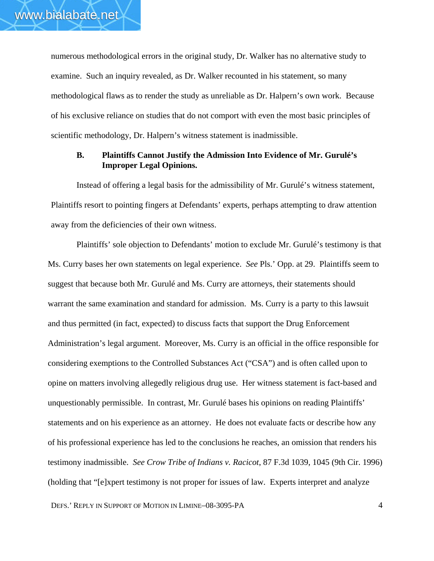numerous methodological errors in the original study, Dr. Walker has no alternative study to examine. Such an inquiry revealed, as Dr. Walker recounted in his statement, so many methodological flaws as to render the study as unreliable as Dr. Halpern's own work. Because of his exclusive reliance on studies that do not comport with even the most basic principles of scientific methodology, Dr. Halpern's witness statement is inadmissible.

# **B. Plaintiffs Cannot Justify the Admission Into Evidence of Mr. Gurulé's Improper Legal Opinions.**

Instead of offering a legal basis for the admissibility of Mr. Gurulé's witness statement, Plaintiffs resort to pointing fingers at Defendants' experts, perhaps attempting to draw attention away from the deficiencies of their own witness.

Plaintiffs' sole objection to Defendants' motion to exclude Mr. Gurulé's testimony is that Ms. Curry bases her own statements on legal experience. *See* Pls.' Opp. at 29. Plaintiffs seem to suggest that because both Mr. Gurulé and Ms. Curry are attorneys, their statements should warrant the same examination and standard for admission. Ms. Curry is a party to this lawsuit and thus permitted (in fact, expected) to discuss facts that support the Drug Enforcement Administration's legal argument. Moreover, Ms. Curry is an official in the office responsible for considering exemptions to the Controlled Substances Act ("CSA") and is often called upon to opine on matters involving allegedly religious drug use. Her witness statement is fact-based and unquestionably permissible. In contrast, Mr. Gurulé bases his opinions on reading Plaintiffs' statements and on his experience as an attorney. He does not evaluate facts or describe how any of his professional experience has led to the conclusions he reaches, an omission that renders his testimony inadmissible. *See Crow Tribe of Indians v. Racicot*, 87 F.3d 1039, 1045 (9th Cir. 1996) (holding that "[e]xpert testimony is not proper for issues of law. Experts interpret and analyze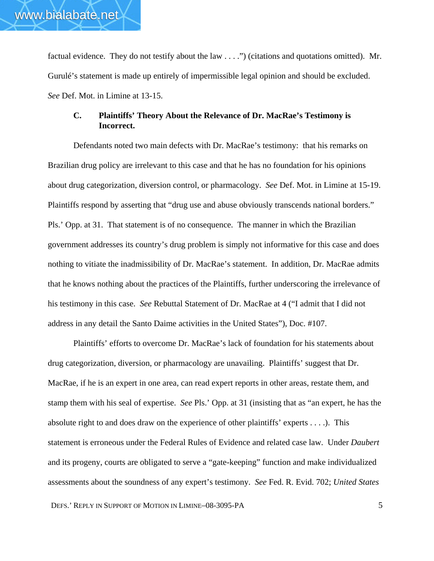factual evidence. They do not testify about the law . . . .") (citations and quotations omitted). Mr. Gurulé's statement is made up entirely of impermissible legal opinion and should be excluded. *See* Def. Mot. in Limine at 13-15.

# **C. Plaintiffs' Theory About the Relevance of Dr. MacRae's Testimony is Incorrect.**

Defendants noted two main defects with Dr. MacRae's testimony: that his remarks on Brazilian drug policy are irrelevant to this case and that he has no foundation for his opinions about drug categorization, diversion control, or pharmacology. *See* Def. Mot. in Limine at 15-19. Plaintiffs respond by asserting that "drug use and abuse obviously transcends national borders." Pls.' Opp. at 31. That statement is of no consequence. The manner in which the Brazilian government addresses its country's drug problem is simply not informative for this case and does nothing to vitiate the inadmissibility of Dr. MacRae's statement. In addition, Dr. MacRae admits that he knows nothing about the practices of the Plaintiffs, further underscoring the irrelevance of his testimony in this case. *See* Rebuttal Statement of Dr. MacRae at 4 ("I admit that I did not address in any detail the Santo Daime activities in the United States"), Doc. #107.

Plaintiffs' efforts to overcome Dr. MacRae's lack of foundation for his statements about drug categorization, diversion, or pharmacology are unavailing. Plaintiffs' suggest that Dr. MacRae, if he is an expert in one area, can read expert reports in other areas, restate them, and stamp them with his seal of expertise. *See* Pls.' Opp. at 31 (insisting that as "an expert, he has the absolute right to and does draw on the experience of other plaintiffs' experts . . . .). This statement is erroneous under the Federal Rules of Evidence and related case law. Under *Daubert* and its progeny, courts are obligated to serve a "gate-keeping" function and make individualized assessments about the soundness of any expert's testimony. *See* Fed. R. Evid. 702; *United States*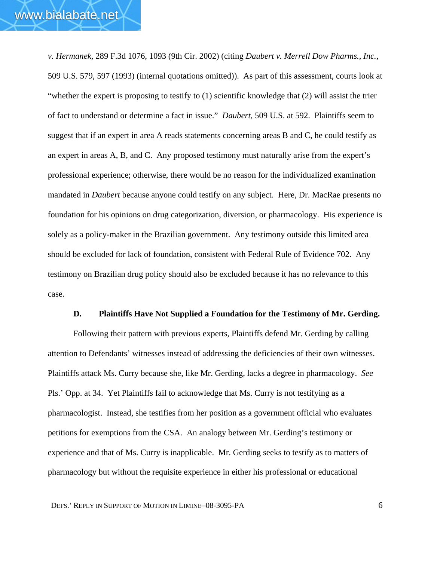*v. Hermanek*, 289 F.3d 1076, 1093 (9th Cir. 2002) (citing *Daubert v. Merrell Dow Pharms., Inc.*, 509 U.S. 579, 597 (1993) (internal quotations omitted)). As part of this assessment, courts look at "whether the expert is proposing to testify to (1) scientific knowledge that (2) will assist the trier of fact to understand or determine a fact in issue." *Daubert,* 509 U.S. at 592. Plaintiffs seem to suggest that if an expert in area A reads statements concerning areas B and C, he could testify as an expert in areas A, B, and C. Any proposed testimony must naturally arise from the expert's professional experience; otherwise, there would be no reason for the individualized examination mandated in *Daubert* because anyone could testify on any subject. Here, Dr. MacRae presents no foundation for his opinions on drug categorization, diversion, or pharmacology. His experience is solely as a policy-maker in the Brazilian government. Any testimony outside this limited area should be excluded for lack of foundation, consistent with Federal Rule of Evidence 702. Any testimony on Brazilian drug policy should also be excluded because it has no relevance to this case.

### **D. Plaintiffs Have Not Supplied a Foundation for the Testimony of Mr. Gerding.**

Following their pattern with previous experts, Plaintiffs defend Mr. Gerding by calling attention to Defendants' witnesses instead of addressing the deficiencies of their own witnesses. Plaintiffs attack Ms. Curry because she, like Mr. Gerding, lacks a degree in pharmacology. *See* Pls.' Opp. at 34. Yet Plaintiffs fail to acknowledge that Ms. Curry is not testifying as a pharmacologist. Instead, she testifies from her position as a government official who evaluates petitions for exemptions from the CSA. An analogy between Mr. Gerding's testimony or experience and that of Ms. Curry is inapplicable. Mr. Gerding seeks to testify as to matters of pharmacology but without the requisite experience in either his professional or educational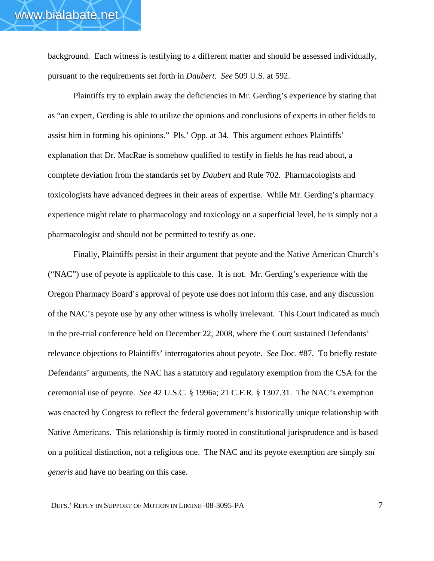background. Each witness is testifying to a different matter and should be assessed individually, pursuant to the requirements set forth in *Daubert*. *See* 509 U.S. at 592.

Plaintiffs try to explain away the deficiencies in Mr. Gerding's experience by stating that as "an expert, Gerding is able to utilize the opinions and conclusions of experts in other fields to assist him in forming his opinions." Pls.' Opp. at 34. This argument echoes Plaintiffs' explanation that Dr. MacRae is somehow qualified to testify in fields he has read about, a complete deviation from the standards set by *Daubert* and Rule 702. Pharmacologists and toxicologists have advanced degrees in their areas of expertise. While Mr. Gerding's pharmacy experience might relate to pharmacology and toxicology on a superficial level, he is simply not a pharmacologist and should not be permitted to testify as one.

Finally, Plaintiffs persist in their argument that peyote and the Native American Church's ("NAC") use of peyote is applicable to this case. It is not. Mr. Gerding's experience with the Oregon Pharmacy Board's approval of peyote use does not inform this case, and any discussion of the NAC's peyote use by any other witness is wholly irrelevant. This Court indicated as much in the pre-trial conference held on December 22, 2008, where the Court sustained Defendants' relevance objections to Plaintiffs' interrogatories about peyote. *See* Doc. #87. To briefly restate Defendants' arguments, the NAC has a statutory and regulatory exemption from the CSA for the ceremonial use of peyote. *See* 42 U.S.C. § 1996a; 21 C.F.R. § 1307.31. The NAC's exemption was enacted by Congress to reflect the federal government's historically unique relationship with Native Americans. This relationship is firmly rooted in constitutional jurisprudence and is based on a political distinction, not a religious one. The NAC and its peyote exemption are simply *sui generis* and have no bearing on this case.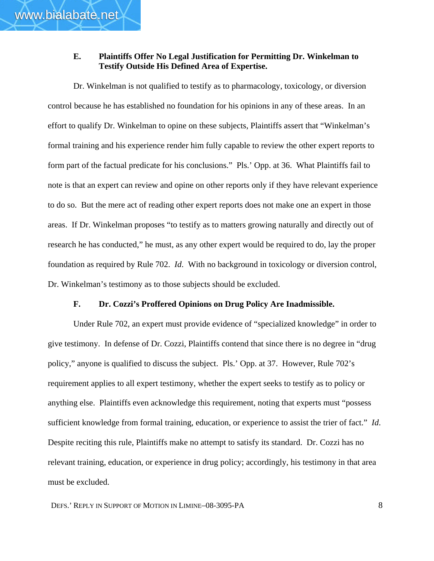# **E. Plaintiffs Offer No Legal Justification for Permitting Dr. Winkelman to Testify Outside His Defined Area of Expertise.**

Dr. Winkelman is not qualified to testify as to pharmacology, toxicology, or diversion control because he has established no foundation for his opinions in any of these areas. In an effort to qualify Dr. Winkelman to opine on these subjects, Plaintiffs assert that "Winkelman's formal training and his experience render him fully capable to review the other expert reports to form part of the factual predicate for his conclusions." Pls.' Opp. at 36. What Plaintiffs fail to note is that an expert can review and opine on other reports only if they have relevant experience to do so. But the mere act of reading other expert reports does not make one an expert in those areas. If Dr. Winkelman proposes "to testify as to matters growing naturally and directly out of research he has conducted," he must, as any other expert would be required to do, lay the proper foundation as required by Rule 702. *Id*. With no background in toxicology or diversion control, Dr. Winkelman's testimony as to those subjects should be excluded.

## **F. Dr. Cozzi's Proffered Opinions on Drug Policy Are Inadmissible.**

Under Rule 702, an expert must provide evidence of "specialized knowledge" in order to give testimony. In defense of Dr. Cozzi, Plaintiffs contend that since there is no degree in "drug policy," anyone is qualified to discuss the subject. Pls.' Opp. at 37. However, Rule 702's requirement applies to all expert testimony, whether the expert seeks to testify as to policy or anything else. Plaintiffs even acknowledge this requirement, noting that experts must "possess sufficient knowledge from formal training, education, or experience to assist the trier of fact." *Id*. Despite reciting this rule, Plaintiffs make no attempt to satisfy its standard. Dr. Cozzi has no relevant training, education, or experience in drug policy; accordingly, his testimony in that area must be excluded.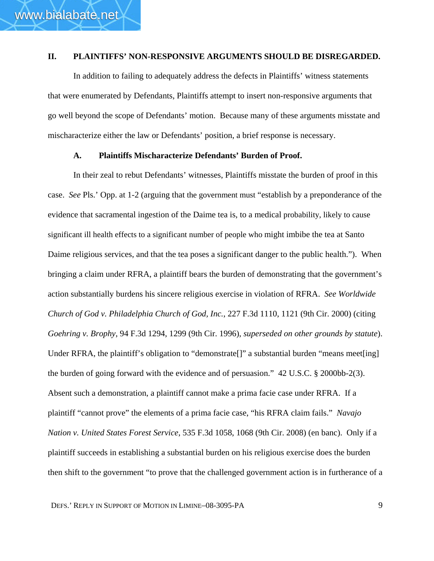## **II. PLAINTIFFS' NON-RESPONSIVE ARGUMENTS SHOULD BE DISREGARDED.**

In addition to failing to adequately address the defects in Plaintiffs' witness statements that were enumerated by Defendants, Plaintiffs attempt to insert non-responsive arguments that go well beyond the scope of Defendants' motion. Because many of these arguments misstate and mischaracterize either the law or Defendants' position, a brief response is necessary.

### **A. Plaintiffs Mischaracterize Defendants' Burden of Proof.**

In their zeal to rebut Defendants' witnesses, Plaintiffs misstate the burden of proof in this case. *See* Pls.' Opp. at 1-2 (arguing that the government must "establish by a preponderance of the evidence that sacramental ingestion of the Daime tea is, to a medical probability, likely to cause significant ill health effects to a significant number of people who might imbibe the tea at Santo Daime religious services, and that the tea poses a significant danger to the public health."). When bringing a claim under RFRA, a plaintiff bears the burden of demonstrating that the government's action substantially burdens his sincere religious exercise in violation of RFRA. *See Worldwide Church of God v. Philadelphia Church of God, Inc.*, 227 F.3d 1110, 1121 (9th Cir. 2000) (citing *Goehring v. Brophy*, 94 F.3d 1294, 1299 (9th Cir. 1996), *superseded on other grounds by statute*). Under RFRA, the plaintiff's obligation to "demonstrate<sup>[]"</sup> a substantial burden "means meet[ing] the burden of going forward with the evidence and of persuasion." 42 U.S.C. § 2000bb-2(3). Absent such a demonstration, a plaintiff cannot make a prima facie case under RFRA. If a plaintiff "cannot prove" the elements of a prima facie case, "his RFRA claim fails." *Navajo Nation v. United States Forest Service*, 535 F.3d 1058, 1068 (9th Cir. 2008) (en banc). Only if a plaintiff succeeds in establishing a substantial burden on his religious exercise does the burden then shift to the government "to prove that the challenged government action is in furtherance of a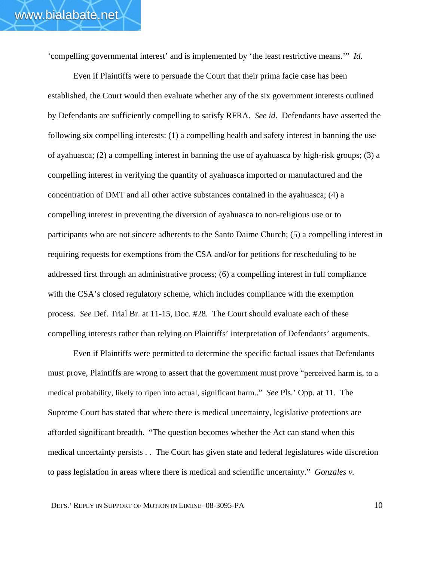'compelling governmental interest' and is implemented by 'the least restrictive means.'" *Id.*

Even if Plaintiffs were to persuade the Court that their prima facie case has been established, the Court would then evaluate whether any of the six government interests outlined by Defendants are sufficiently compelling to satisfy RFRA. *See id*. Defendants have asserted the following six compelling interests: (1) a compelling health and safety interest in banning the use of ayahuasca; (2) a compelling interest in banning the use of ayahuasca by high-risk groups; (3) a compelling interest in verifying the quantity of ayahuasca imported or manufactured and the concentration of DMT and all other active substances contained in the ayahuasca; (4) a compelling interest in preventing the diversion of ayahuasca to non-religious use or to participants who are not sincere adherents to the Santo Daime Church; (5) a compelling interest in requiring requests for exemptions from the CSA and/or for petitions for rescheduling to be addressed first through an administrative process; (6) a compelling interest in full compliance with the CSA's closed regulatory scheme, which includes compliance with the exemption process. *See* Def. Trial Br. at 11-15, Doc. #28. The Court should evaluate each of these compelling interests rather than relying on Plaintiffs' interpretation of Defendants' arguments.

Even if Plaintiffs were permitted to determine the specific factual issues that Defendants must prove, Plaintiffs are wrong to assert that the government must prove "perceived harm is, to a medical probability, likely to ripen into actual, significant harm.." *See* Pls.' Opp. at 11. The Supreme Court has stated that where there is medical uncertainty, legislative protections are afforded significant breadth. "The question becomes whether the Act can stand when this medical uncertainty persists . . The Court has given state and federal legislatures wide discretion to pass legislation in areas where there is medical and scientific uncertainty." *Gonzales v.*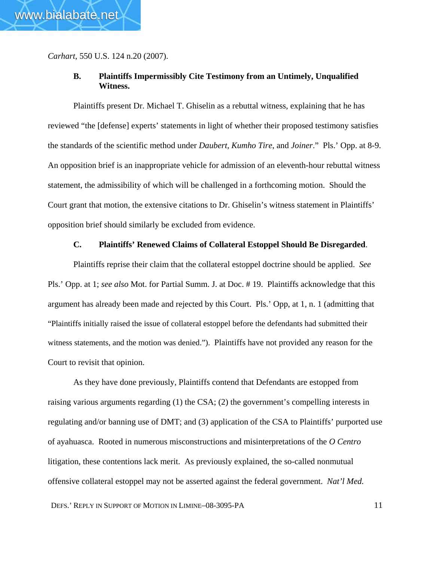*Carhart*, 550 U.S. 124 n.20 (2007).

# **B. Plaintiffs Impermissibly Cite Testimony from an Untimely, Unqualified Witness.**

Plaintiffs present Dr. Michael T. Ghiselin as a rebuttal witness, explaining that he has reviewed "the [defense] experts' statements in light of whether their proposed testimony satisfies the standards of the scientific method under *Daubert, Kumho Tire*, and *Joiner*." Pls.' Opp. at 8-9. An opposition brief is an inappropriate vehicle for admission of an eleventh-hour rebuttal witness statement, the admissibility of which will be challenged in a forthcoming motion. Should the Court grant that motion, the extensive citations to Dr. Ghiselin's witness statement in Plaintiffs' opposition brief should similarly be excluded from evidence.

## **C. Plaintiffs' Renewed Claims of Collateral Estoppel Should Be Disregarded**.

Plaintiffs reprise their claim that the collateral estoppel doctrine should be applied. *See* Pls.' Opp. at 1; *see also* Mot. for Partial Summ. J. at Doc. # 19. Plaintiffs acknowledge that this argument has already been made and rejected by this Court. Pls.' Opp, at 1, n. 1 (admitting that "Plaintiffs initially raised the issue of collateral estoppel before the defendants had submitted their witness statements, and the motion was denied."). Plaintiffs have not provided any reason for the Court to revisit that opinion.

As they have done previously, Plaintiffs contend that Defendants are estopped from raising various arguments regarding (1) the CSA; (2) the government's compelling interests in regulating and/or banning use of DMT; and (3) application of the CSA to Plaintiffs' purported use of ayahuasca. Rooted in numerous misconstructions and misinterpretations of the *O Centro* litigation, these contentions lack merit. As previously explained, the so-called nonmutual offensive collateral estoppel may not be asserted against the federal government. *Nat'l Med.*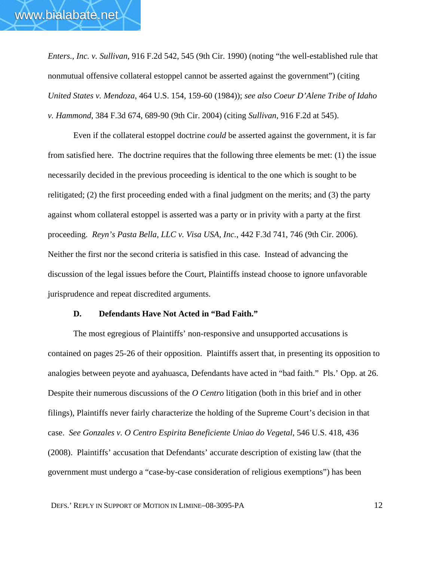*Enters., Inc. v. Sullivan*, 916 F.2d 542, 545 (9th Cir. 1990) (noting "the well-established rule that nonmutual offensive collateral estoppel cannot be asserted against the government") (citing *United States v. Mendoza*, 464 U.S. 154, 159-60 (1984)); *see also Coeur D'Alene Tribe of Idaho v. Hammond*, 384 F.3d 674, 689-90 (9th Cir. 2004) (citing *Sullivan*, 916 F.2d at 545).

Even if the collateral estoppel doctrine *could* be asserted against the government, it is far from satisfied here. The doctrine requires that the following three elements be met: (1) the issue necessarily decided in the previous proceeding is identical to the one which is sought to be relitigated; (2) the first proceeding ended with a final judgment on the merits; and (3) the party against whom collateral estoppel is asserted was a party or in privity with a party at the first proceeding. *Reyn's Pasta Bella, LLC v. Visa USA, Inc.*, 442 F.3d 741, 746 (9th Cir. 2006). Neither the first nor the second criteria is satisfied in this case. Instead of advancing the discussion of the legal issues before the Court, Plaintiffs instead choose to ignore unfavorable jurisprudence and repeat discredited arguments.

## **D. Defendants Have Not Acted in "Bad Faith."**

 The most egregious of Plaintiffs' non-responsive and unsupported accusations is contained on pages 25-26 of their opposition. Plaintiffs assert that, in presenting its opposition to analogies between peyote and ayahuasca, Defendants have acted in "bad faith." Pls.' Opp. at 26. Despite their numerous discussions of the *O Centro* litigation (both in this brief and in other filings), Plaintiffs never fairly characterize the holding of the Supreme Court's decision in that case. *See Gonzales v. O Centro Espirita Beneficiente Uniao do Vegetal*, 546 U.S. 418, 436 (2008). Plaintiffs' accusation that Defendants' accurate description of existing law (that the government must undergo a "case-by-case consideration of religious exemptions") has been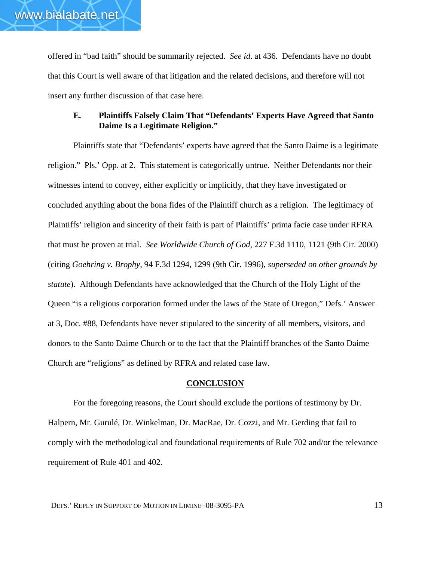offered in "bad faith" should be summarily rejected. *See id*. at 436. Defendants have no doubt that this Court is well aware of that litigation and the related decisions, and therefore will not insert any further discussion of that case here.

# **E. Plaintiffs Falsely Claim That "Defendants' Experts Have Agreed that Santo Daime Is a Legitimate Religion."**

Plaintiffs state that "Defendants' experts have agreed that the Santo Daime is a legitimate religion." Pls.' Opp. at 2. This statement is categorically untrue. Neither Defendants nor their witnesses intend to convey, either explicitly or implicitly, that they have investigated or concluded anything about the bona fides of the Plaintiff church as a religion. The legitimacy of Plaintiffs' religion and sincerity of their faith is part of Plaintiffs' prima facie case under RFRA that must be proven at trial. *See Worldwide Church of God*, 227 F.3d 1110, 1121 (9th Cir. 2000) (citing *Goehring v. Brophy*, 94 F.3d 1294, 1299 (9th Cir. 1996), *superseded on other grounds by statute*). Although Defendants have acknowledged that the Church of the Holy Light of the Queen "is a religious corporation formed under the laws of the State of Oregon," Defs.' Answer at 3, Doc. #88, Defendants have never stipulated to the sincerity of all members, visitors, and donors to the Santo Daime Church or to the fact that the Plaintiff branches of the Santo Daime Church are "religions" as defined by RFRA and related case law.

#### **CONCLUSION**

For the foregoing reasons, the Court should exclude the portions of testimony by Dr. Halpern, Mr. Gurulé, Dr. Winkelman, Dr. MacRae, Dr. Cozzi, and Mr. Gerding that fail to comply with the methodological and foundational requirements of Rule 702 and/or the relevance requirement of Rule 401 and 402.